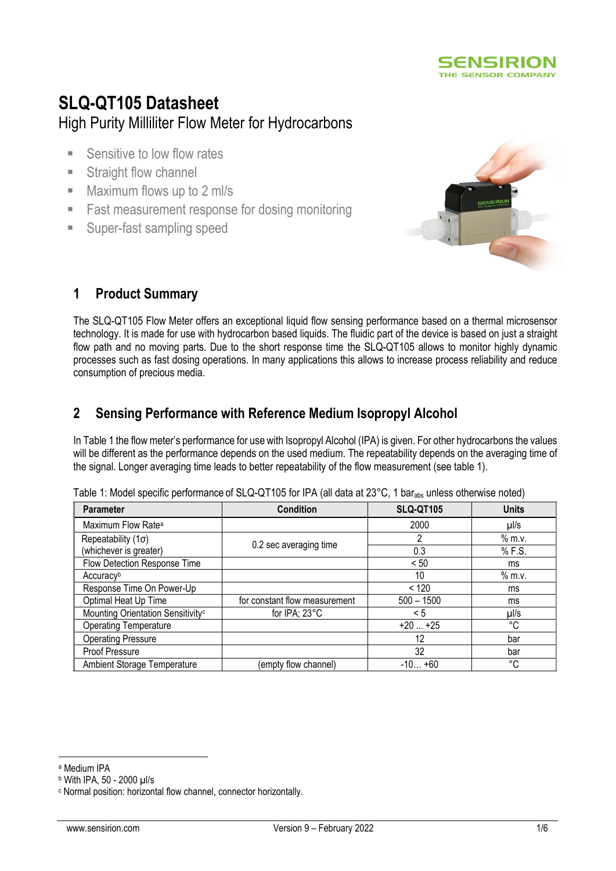

# **SLQ-QT105 Datasheet** High Purity Milliliter Flow Meter for Hydrocarbons

- **EXECUTE:** Sensitive to low flow rates
- **EXECUTE:** Straight flow channel
- Maximum flows up to 2 ml/s
- Fast measurement response for dosing monitoring
- Super-fast sampling speed



# **1 Product Summary**

The SLQ-QT105 Flow Meter offers an exceptional liquid flow sensing performance based on a thermal microsensor technology. It is made for use with hydrocarbon based liquids. The fluidic part of the device is based on just a straight flow path and no moving parts. Due to the short response time the SLQ-QT105 allows to monitor highly dynamic processes such as fast dosing operations. In many applications this allows to increase process reliability and reduce consumption of precious media.

# **2 Sensing Performance with Reference Medium Isopropyl Alcohol**

In Table 1 the flow meter's performance for use with Isopropyl Alcohol (IPA) is given. For other hydrocarbons the values will be different as the performance depends on the used medium. The repeatability depends on the averaging time of the signal. Longer averaging time leads to better repeatability of the flow measurement (see table 1).

| <b>Parameter</b>                              | <b>Condition</b>              | <b>SLQ-QT105</b> | <b>Units</b> |
|-----------------------------------------------|-------------------------------|------------------|--------------|
| Maximum Flow Rate <sup>a</sup>                |                               | 2000             | $\mu$ //s    |
| Repeatability $(1\sigma)$                     | 0.2 sec averaging time        | 2                | $%$ m.v.     |
| (whichever is greater)                        |                               | 0.3              | % F.S.       |
| Flow Detection Response Time                  |                               | < 50             | ms           |
| Accuracyb                                     |                               | 10               | $%$ m.v.     |
| Response Time On Power-Up                     |                               | < 120            | ms           |
| Optimal Heat Up Time                          | for constant flow measurement | $500 - 1500$     | ms           |
| Mounting Orientation Sensitivity <sup>c</sup> | for IPA; 23°C                 | < 5              | $\mu$ /s     |
| <b>Operating Temperature</b>                  |                               | $+20+25$         | °C           |
| <b>Operating Pressure</b>                     |                               | 12               | bar          |
| Proof Pressure                                |                               | 32               | bar          |
| <b>Ambient Storage Temperature</b>            | (empty flow channel)          | $-10+60$         | °C           |

|  | Table 1: Model specific performance of SLQ-QT105 for IPA (all data at 23 $^{\circ}$ C, 1 bar <sub>abs</sub> unless otherwise noted) |  |  |
|--|-------------------------------------------------------------------------------------------------------------------------------------|--|--|
|  |                                                                                                                                     |  |  |

<sup>a</sup> Medium IPA

<sup>b</sup> With IPA, 50 - 2000 µl/s

<sup>c</sup> Normal position: horizontal flow channel, connector horizontally.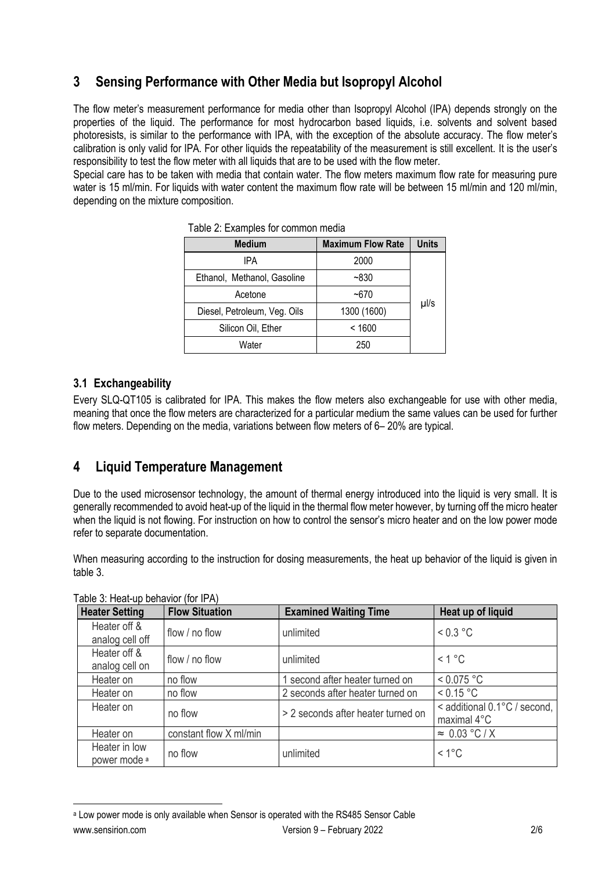# **3 Sensing Performance with Other Media but Isopropyl Alcohol**

The flow meter's measurement performance for media other than Isopropyl Alcohol (IPA) depends strongly on the properties of the liquid. The performance for most hydrocarbon based liquids, i.e. solvents and solvent based photoresists, is similar to the performance with IPA, with the exception of the absolute accuracy. The flow meter's calibration is only valid for IPA. For other liquids the repeatability of the measurement is still excellent. It is the user's responsibility to test the flow meter with all liquids that are to be used with the flow meter.

Special care has to be taken with media that contain water. The flow meters maximum flow rate for measuring pure water is 15 ml/min. For liquids with water content the maximum flow rate will be between 15 ml/min and 120 ml/min. depending on the mixture composition.

| <b>Medium</b>                | <b>Maximum Flow Rate</b> | <b>Units</b> |
|------------------------------|--------------------------|--------------|
| IPA                          | 2000                     |              |
| Ethanol, Methanol, Gasoline  | $-830$                   |              |
| Acetone                      | $-670$                   |              |
| Diesel, Petroleum, Veg. Oils | 1300 (1600)              | µl/s         |
| Silicon Oil, Ether           | < 1600                   |              |
| Water                        | 250                      |              |

Table 2: Examples for common media

## **3.1 Exchangeability**

Every SLQ-QT105 is calibrated for IPA. This makes the flow meters also exchangeable for use with other media, meaning that once the flow meters are characterized for a particular medium the same values can be used for further flow meters. Depending on the media, variations between flow meters of 6– 20% are typical.

# **4 Liquid Temperature Management**

Due to the used microsensor technology, the amount of thermal energy introduced into the liquid is very small. It is generally recommended to avoid heat-up of the liquid in the thermal flow meter however, by turning off the micro heater when the liquid is not flowing. For instruction on how to control the sensor's micro heater and on the low power mode refer to separate documentation.

When measuring according to the instruction for dosing measurements, the heat up behavior of the liquid is given in table 3.

| <b>Heater Setting</b>                    | <b>Flow Situation</b>  | <b>Examined Waiting Time</b>       | Heat up of liquid                           |
|------------------------------------------|------------------------|------------------------------------|---------------------------------------------|
| Heater off &<br>analog cell off          | flow / no flow         | unlimited                          | $< 0.3$ °C                                  |
| Heater off &<br>analog cell on           | flow / no flow         | unlimited                          | < 1 °C                                      |
| Heater on                                | no flow                | 1 second after heater turned on    | < 0.075 °C                                  |
| Heater on                                | no flow                | 2 seconds after heater turned on   | < 0.15 °C                                   |
| Heater on                                | no flow                | > 2 seconds after heater turned on | < additional 0.1°C / second,<br>maximal 4°C |
| Heater on                                | constant flow X ml/min |                                    | $\approx 0.03$ °C/X                         |
| Heater in low<br>power mode <sup>a</sup> | no flow                | unlimited                          | $< 1^{\circ}$ C                             |

Table 3: Heat-up behavior (for IPA)

www.sensirion.com Version 9 – February 2022 2/6 <sup>a</sup> Low power mode is only available when Sensor is operated with the RS485 Sensor Cable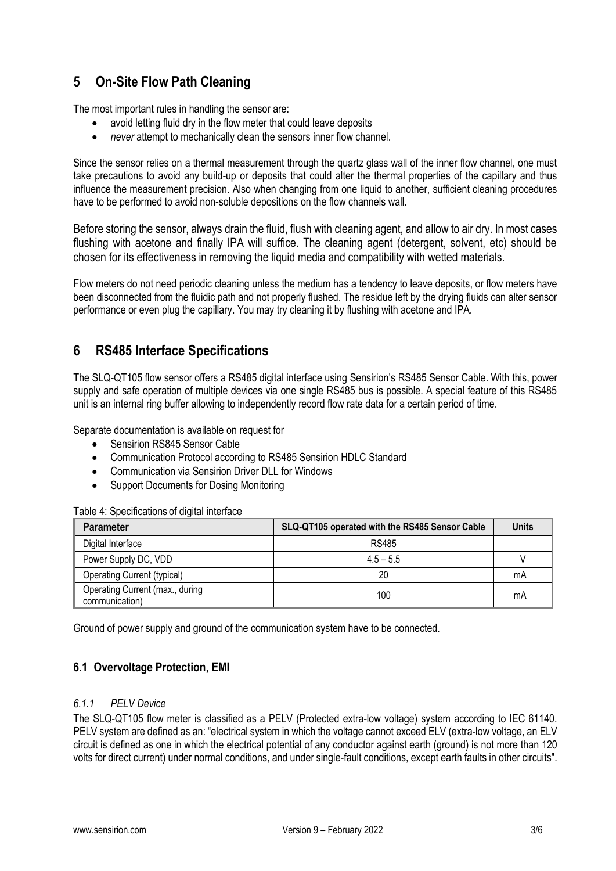# **5 On-Site Flow Path Cleaning**

The most important rules in handling the sensor are:

- avoid letting fluid dry in the flow meter that could leave deposits
- *never* attempt to mechanically clean the sensors inner flow channel.

Since the sensor relies on a thermal measurement through the quartz glass wall of the inner flow channel, one must take precautions to avoid any build-up or deposits that could alter the thermal properties of the capillary and thus influence the measurement precision. Also when changing from one liquid to another, sufficient cleaning procedures have to be performed to avoid non-soluble depositions on the flow channels wall.

Before storing the sensor, always drain the fluid, flush with cleaning agent, and allow to air dry. In most cases flushing with acetone and finally IPA will suffice. The cleaning agent (detergent, solvent, etc) should be chosen for its effectiveness in removing the liquid media and compatibility with wetted materials.

Flow meters do not need periodic cleaning unless the medium has a tendency to leave deposits, or flow meters have been disconnected from the fluidic path and not properly flushed. The residue left by the drying fluids can alter sensor performance or even plug the capillary. You may try cleaning it by flushing with acetone and IPA.

# **6 RS485 Interface Specifications**

The SLQ-QT105 flow sensor offers a RS485 digital interface using Sensirion's RS485 Sensor Cable. With this, power supply and safe operation of multiple devices via one single RS485 bus is possible. A special feature of this RS485 unit is an internal ring buffer allowing to independently record flow rate data for a certain period of time.

Separate documentation is available on request for

- Sensirion RS845 Sensor Cable
- Communication Protocol according to RS485 Sensirion HDLC Standard
- Communication via Sensirion Driver DLL for Windows
- Support Documents for Dosing Monitoring

### Table 4: Specifications of digital interface

| <b>Parameter</b>                                  | SLQ-QT105 operated with the RS485 Sensor Cable | <b>Units</b> |
|---------------------------------------------------|------------------------------------------------|--------------|
| Digital Interface                                 | RS485                                          |              |
| Power Supply DC, VDD                              | $4.5 - 5.5$                                    |              |
| <b>Operating Current (typical)</b>                | 20                                             | mA           |
| Operating Current (max., during<br>communication) | 100                                            | mA           |

Ground of power supply and ground of the communication system have to be connected.

### **6.1 Overvoltage Protection, EMI**

### *6.1.1 PELV Device*

The SLQ-QT105 flow meter is classified as a PELV (Protected extra-low voltage) system according to IEC 61140. PELV system are defined as an: "electrical system in which the voltage cannot exceed ELV (extra-low voltage, an ELV circuit is defined as one in which the [electrical potential](http://en.wikipedia.org/wiki/Electrical_potential) of an[y conductor](http://en.wikipedia.org/wiki/Electrical_conductor) agains[t earth](http://en.wikipedia.org/wiki/Ground_%2528electrical%2529) (ground) is not more than 120 volts fo[r direct current\)](http://en.wikipedia.org/wiki/Direct_current) under normal conditions, and under single-fault conditions, except earth faults in other circuits".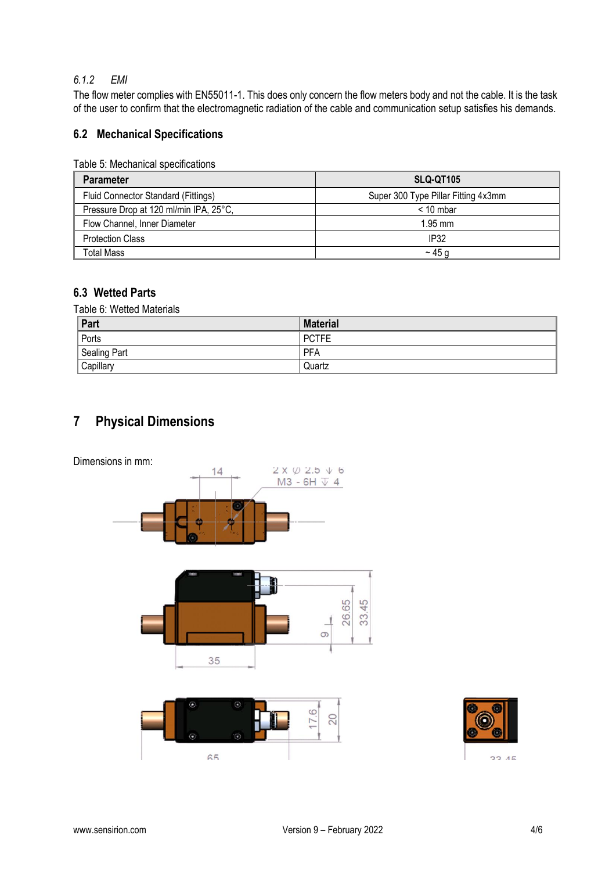### *6.1.2 EMI*

The flow meter complies with EN55011-1. This does only concern the flow meters body and not the cable. It is the task of the user to confirm that the electromagnetic radiation of the cable and communication setup satisfies his demands.

## **6.2 Mechanical Specifications**

| Table 5: Mechanical specifications |
|------------------------------------|
|------------------------------------|

| <b>Parameter</b>                       | SLQ-QT105                           |
|----------------------------------------|-------------------------------------|
| Fluid Connector Standard (Fittings)    | Super 300 Type Pillar Fitting 4x3mm |
| Pressure Drop at 120 ml/min IPA, 25°C, | $< 10$ mbar                         |
| Flow Channel, Inner Diameter           | $1.95$ mm                           |
| <b>Protection Class</b>                | IP32                                |
| Total Mass                             | $\sim$ 45 g                         |

## **6.3 Wetted Parts**

Table 6: Wetted Materials

| Part         | <b>Material</b> |
|--------------|-----------------|
| Ports        | <b>PCTFE</b>    |
| Sealing Part | PFA             |
| Capillary    | Quartz          |

# **7 Physical Dimensions**

Dimensions in mm:







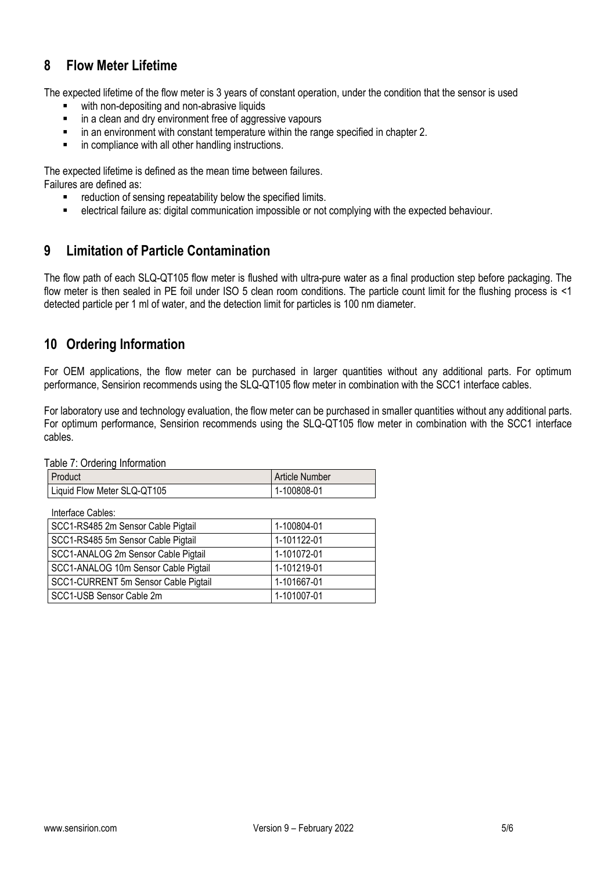# **8 Flow Meter Lifetime**

The expected lifetime of the flow meter is 3 years of constant operation, under the condition that the sensor is used

- with non-depositing and non-abrasive liquids<br>■ in a clean and dry environment free of aggres
- in a clean and dry environment free of aggressive vapours
- in an environment with constant temperature within the range specified in chapter 2.
- in compliance with all other handling instructions.

The expected lifetime is defined as the mean time between failures.

Failures are defined as:

- reduction of sensing repeatability below the specified limits.
- electrical failure as: digital communication impossible or not complying with the expected behaviour.

## **9 Limitation of Particle Contamination**

The flow path of each SLQ-QT105 flow meter is flushed with ultra-pure water as a final production step before packaging. The flow meter is then sealed in PE foil under ISO 5 clean room conditions. The particle count limit for the flushing process is <1 detected particle per 1 ml of water, and the detection limit for particles is 100 nm diameter.

# **10 Ordering Information**

For OEM applications, the flow meter can be purchased in larger quantities without any additional parts. For optimum performance, Sensirion recommends using the SLQ-QT105 flow meter in combination with the SCC1 interface cables.

For laboratory use and technology evaluation, the flow meter can be purchased in smaller quantities without any additional parts. For optimum performance, Sensirion recommends using the SLQ-QT105 flow meter in combination with the SCC1 interface cables.

Table 7: Ordering Information

| <b>Product</b>              | <b>Article Number</b> |
|-----------------------------|-----------------------|
| Liquid Flow Meter SLQ-QT105 | 1-100808-01           |

| Interface Cables:                    |             |
|--------------------------------------|-------------|
| SCC1-RS485 2m Sensor Cable Pigtail   | 1-100804-01 |
| SCC1-RS485 5m Sensor Cable Pigtail   | 1-101122-01 |
| SCC1-ANALOG 2m Sensor Cable Pigtail  | 1-101072-01 |
| SCC1-ANALOG 10m Sensor Cable Pigtail | 1-101219-01 |
| SCC1-CURRENT 5m Sensor Cable Pigtail | 1-101667-01 |
| SCC1-USB Sensor Cable 2m             | 1-101007-01 |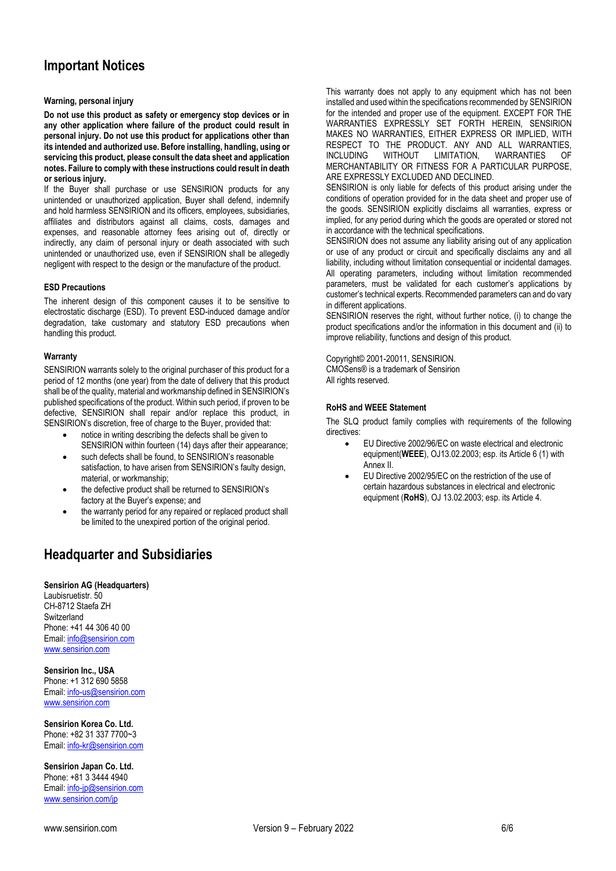# **Important Notices**

### **Warning, personal injury**

**Do not use this product as safety or emergency stop devices or in any other application where failure of the product could result in personal injury. Do not use this product for applications other than its intended and authorized use. Before installing, handling, using or servicing this product, please consult the data sheet and application notes. Failure to comply with these instructions could result in death or serious injury.**

If the Buyer shall purchase or use SENSIRION products for any unintended or unauthorized application, Buyer shall defend, indemnify and hold harmless SENSIRION and its officers, employees, subsidiaries, affiliates and distributors against all claims, costs, damages and expenses, and reasonable attorney fees arising out of, directly or indirectly, any claim of personal injury or death associated with such unintended or unauthorized use, even if SENSIRION shall be allegedly negligent with respect to the design or the manufacture of the product.

### **ESD Precautions**

The inherent design of this component causes it to be sensitive to electrostatic discharge (ESD). To prevent ESD-induced damage and/or degradation, take customary and statutory ESD precautions when handling this product.

### **Warranty**

SENSIRION warrants solely to the original purchaser of this product for a period of 12 months (one year) from the date of delivery that this product shall be of the quality, material and workmanship defined in SENSIRION's published specifications of the product. Within such period, if proven to be defective, SENSIRION shall repair and/or replace this product, in SENSIRION's discretion, free of charge to the Buyer, provided that:

- notice in writing describing the defects shall be given to SENSIRION within fourteen (14) days after their appearance;
- such defects shall be found, to SENSIRION's reasonable satisfaction, to have arisen from SENSIRION's faulty design, material, or workmanship;
- the defective product shall be returned to SENSIRION's factory at the Buyer's expense; and
- the warranty period for any repaired or replaced product shall be limited to the unexpired portion of the original period.

# **Headquarter and Subsidiaries**

### **Sensirion AG (Headquarters)**

Laubisruetistr. 50 CH-8712 Staefa ZH **Switzerland** Phone: +41 44 306 40 00 Email[: info@sensirion.com](mailto:info@sensirion.com) [www.sensirion.com](http://www.sensirion.com/)

**Sensirion Inc., USA**  Phone: +1 312 690 5858

Email[: info-us@sensirion.com](mailto:info-us@sensirion.com) [www.sensirion.com](http://www.sensirion.com/)

**Sensirion Korea Co. Ltd.** Phone: +82 31 337 7700~3 Email[: info-kr@sensirion.com](mailto:info-kr@sensirion.com)

**Sensirion Japan Co. Ltd.**  Phone: +81 3 3444 4940 Email[: info-jp@sensirion.com](mailto:info-jp@sensirion.com) [www.sensirion.com/jp](http://www.sensirion.com/jp)

This warranty does not apply to any equipment which has not been installed and used within the specifications recommended by SENSIRION for the intended and proper use of the equipment. EXCEPT FOR THE WARRANTIES EXPRESSLY SET FORTH HEREIN, SENSIRION MAKES NO WARRANTIES, EITHER EXPRESS OR IMPLIED, WITH RESPECT TO THE PRODUCT. ANY AND ALL WARRANTIES, INCLUDING WITHOUT LIMITATION, WARRANTIES OF MERCHANTABILITY OR FITNESS FOR A PARTICULAR PURPOSE, ARE EXPRESSLY EXCLUDED AND DECLINED.

SENSIRION is only liable for defects of this product arising under the conditions of operation provided for in the data sheet and proper use of the goods. SENSIRION explicitly disclaims all warranties, express or implied, for any period during which the goods are operated or stored not in accordance with the technical specifications.

SENSIRION does not assume any liability arising out of any application or use of any product or circuit and specifically disclaims any and all liability, including without limitation consequential or incidental damages. All operating parameters, including without limitation recommended parameters, must be validated for each customer's applications by customer's technical experts. Recommended parameters can and do vary in different applications.

SENSIRION reserves the right, without further notice, (i) to change the product specifications and/or the information in this document and (ii) to improve reliability, functions and design of this product.

Copyright© 2001-20011, SENSIRION. CMOSens® is a trademark of Sensirion All rights reserved.

### **RoHS and WEEE Statement**

The SLQ product family complies with requirements of the following directives:

- EU Directive 2002/96/EC on waste electrical and electronic equipment(**WEEE**), OJ13.02.2003; esp. its Article 6 (1) with Annex II.
- EU Directive 2002/95/EC on the restriction of the use of certain hazardous substances in electrical and electronic equipment (**RoHS**), OJ 13.02.2003; esp. its Article 4.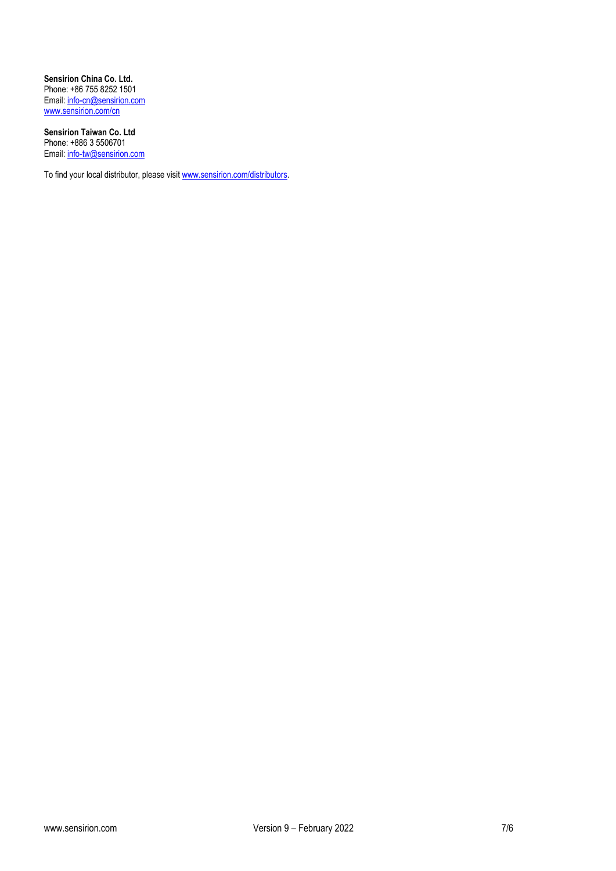**Sensirion China Co. Ltd.**  Phone: +86 755 8252 1501 Email: [info-cn@sensirion.com](mailto:info-cn@sensirion.com) [www.sensirion.com/cn](http://www.sensirion.com/cn)

**Sensirion Taiwan Co. Ltd**  Phone: +886 3 5506701 Email[: info-tw@sensirion.com](mailto:info-tw@sensirion.com)

To find your local distributor, please visit [www.sensirion.com/distributors.](http://www.sensirion.com/distributors)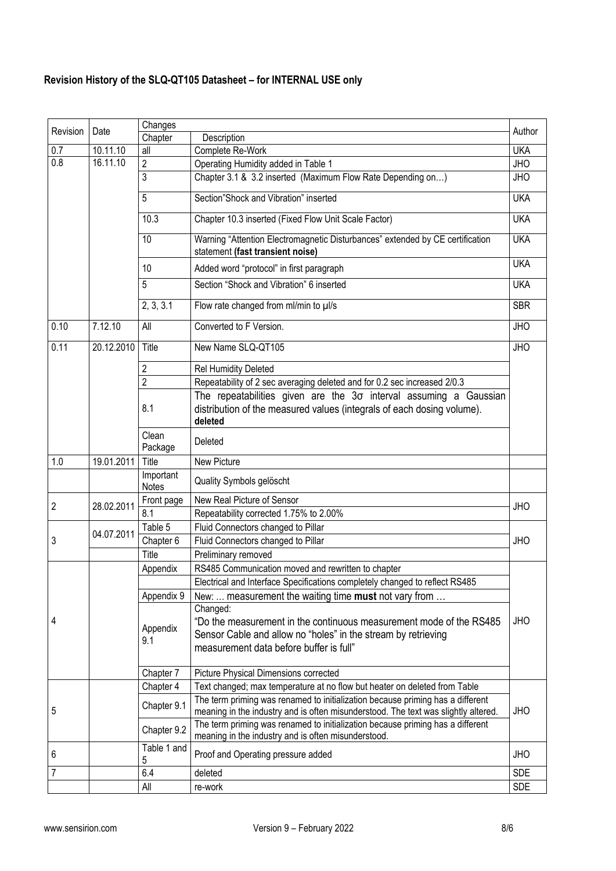# **Revision History of the SLQ-QT105 Datasheet – for INTERNAL USE only**

| Revision | Date       | Changes                   |                                                                                                                                       | Author     |
|----------|------------|---------------------------|---------------------------------------------------------------------------------------------------------------------------------------|------------|
|          |            | Chapter                   | Description                                                                                                                           |            |
| 0.7      | 10.11.10   | all                       | Complete Re-Work                                                                                                                      | <b>UKA</b> |
| 0.8      | 16.11.10   | $\overline{2}$            | Operating Humidity added in Table 1                                                                                                   | <b>JHO</b> |
|          |            | $\overline{3}$            | Chapter 3.1 & 3.2 inserted (Maximum Flow Rate Depending on)                                                                           | JHO        |
|          |            | 5                         | Section"Shock and Vibration" inserted                                                                                                 | <b>UKA</b> |
|          |            | 10.3                      | Chapter 10.3 inserted (Fixed Flow Unit Scale Factor)                                                                                  | <b>UKA</b> |
|          |            | 10                        | Warning "Attention Electromagnetic Disturbances" extended by CE certification<br>statement (fast transient noise)                     | <b>UKA</b> |
|          |            | 10                        | Added word "protocol" in first paragraph                                                                                              | <b>UKA</b> |
|          |            | 5                         | Section "Shock and Vibration" 6 inserted                                                                                              | <b>UKA</b> |
|          |            | 2, 3, 3.1                 | Flow rate changed from ml/min to µl/s                                                                                                 | <b>SBR</b> |
| 0.10     | 7.12.10    | All                       | Converted to F Version.                                                                                                               | <b>JHO</b> |
| 0.11     | 20.12.2010 | Title                     | New Name SLQ-QT105                                                                                                                    | <b>JHO</b> |
|          |            | 2                         | <b>Rel Humidity Deleted</b>                                                                                                           |            |
|          |            | $\overline{2}$            | Repeatability of 2 sec averaging deleted and for 0.2 sec increased 2/0.3                                                              |            |
|          |            |                           | The repeatabilities given are the $3\sigma$ interval assuming a Gaussian                                                              |            |
|          |            | 8.1                       | distribution of the measured values (integrals of each dosing volume).<br>deleted                                                     |            |
|          |            | Clean<br>Package          | Deleted                                                                                                                               |            |
| 1.0      | 19.01.2011 | Title                     | New Picture                                                                                                                           |            |
|          |            | Important<br><b>Notes</b> | Quality Symbols gelöscht                                                                                                              |            |
|          |            | Front page                | New Real Picture of Sensor                                                                                                            |            |
| 2        | 28.02.2011 | 8.1                       | Repeatability corrected 1.75% to 2.00%                                                                                                | <b>JHO</b> |
|          |            | Table 5                   | Fluid Connectors changed to Pillar                                                                                                    |            |
| 3        | 04.07.2011 | Chapter 6                 |                                                                                                                                       |            |
|          |            |                           |                                                                                                                                       |            |
|          |            |                           | Fluid Connectors changed to Pillar                                                                                                    | <b>JHO</b> |
|          |            | Title                     | Preliminary removed                                                                                                                   |            |
|          |            | Appendix                  | RS485 Communication moved and rewritten to chapter                                                                                    |            |
|          |            |                           | Electrical and Interface Specifications completely changed to reflect RS485                                                           |            |
|          |            | Appendix 9                | New:  measurement the waiting time must not vary from                                                                                 |            |
|          |            |                           | Changed:                                                                                                                              |            |
| 4        |            | Appendix                  | "Do the measurement in the continuous measurement mode of the RS485                                                                   | <b>JHO</b> |
|          |            | 9.1                       | Sensor Cable and allow no "holes" in the stream by retrieving                                                                         |            |
|          |            |                           | measurement data before buffer is full"                                                                                               |            |
|          |            |                           |                                                                                                                                       |            |
|          |            | Chapter 7                 | Picture Physical Dimensions corrected                                                                                                 |            |
|          |            | Chapter 4                 | Text changed; max temperature at no flow but heater on deleted from Table                                                             |            |
|          |            | Chapter 9.1               | The term priming was renamed to initialization because priming has a different                                                        |            |
| 5        |            |                           | meaning in the industry and is often misunderstood. The text was slightly altered.                                                    | <b>JHO</b> |
|          |            | Chapter 9.2               | The term priming was renamed to initialization because priming has a different<br>meaning in the industry and is often misunderstood. |            |
| 6        |            | Table 1 and               | Proof and Operating pressure added                                                                                                    | <b>JHO</b> |
| 7        |            | 5<br>6.4                  | deleted                                                                                                                               | <b>SDE</b> |